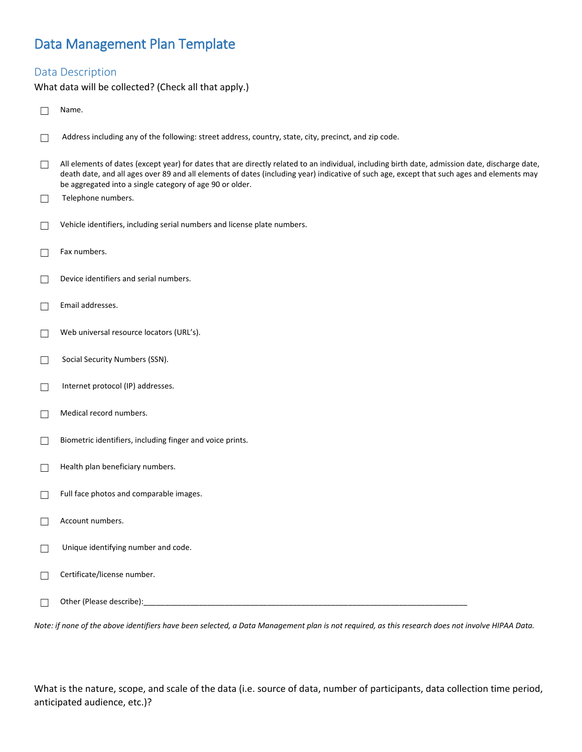# Data Management Plan Template

# Data Description

What data will be collected? (Check all that apply.)

|              | Name.                                                                                                                                                                                                                                                                                                                                                     |
|--------------|-----------------------------------------------------------------------------------------------------------------------------------------------------------------------------------------------------------------------------------------------------------------------------------------------------------------------------------------------------------|
| $\mathsf{L}$ | Address including any of the following: street address, country, state, city, precinct, and zip code.                                                                                                                                                                                                                                                     |
| $\Box$       | All elements of dates (except year) for dates that are directly related to an individual, including birth date, admission date, discharge date,<br>death date, and all ages over 89 and all elements of dates (including year) indicative of such age, except that such ages and elements may<br>be aggregated into a single category of age 90 or older. |
| $\Box$       | Telephone numbers.                                                                                                                                                                                                                                                                                                                                        |
|              | Vehicle identifiers, including serial numbers and license plate numbers.                                                                                                                                                                                                                                                                                  |
| $\Box$       | Fax numbers.                                                                                                                                                                                                                                                                                                                                              |
|              | Device identifiers and serial numbers.                                                                                                                                                                                                                                                                                                                    |
| $\perp$      | Email addresses.                                                                                                                                                                                                                                                                                                                                          |
|              | Web universal resource locators (URL's).                                                                                                                                                                                                                                                                                                                  |
| $\mathsf{L}$ | Social Security Numbers (SSN).                                                                                                                                                                                                                                                                                                                            |
| $\perp$      | Internet protocol (IP) addresses.                                                                                                                                                                                                                                                                                                                         |
| $\perp$      | Medical record numbers.                                                                                                                                                                                                                                                                                                                                   |
| $\perp$      | Biometric identifiers, including finger and voice prints.                                                                                                                                                                                                                                                                                                 |
| $\perp$      | Health plan beneficiary numbers.                                                                                                                                                                                                                                                                                                                          |
|              | Full face photos and comparable images.                                                                                                                                                                                                                                                                                                                   |
|              | Account numbers.                                                                                                                                                                                                                                                                                                                                          |
|              | Unique identifying number and code.                                                                                                                                                                                                                                                                                                                       |
| $\mathbf{L}$ | Certificate/license number.                                                                                                                                                                                                                                                                                                                               |
|              |                                                                                                                                                                                                                                                                                                                                                           |

*Note: if none of the above identifiers have been selected, a Data Management plan is not required, as this research does not involve HIPAA Data.*

What is the nature, scope, and scale of the data (i.e. source of data, number of participants, data collection time period, anticipated audience, etc.)?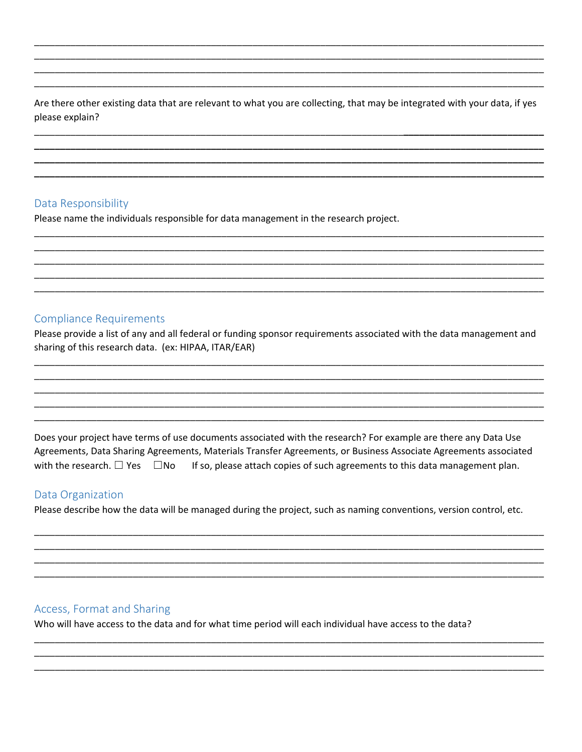Are there other existing data that are relevant to what you are collecting, that may be integrated with your data, if yes please explain?

# Data Responsibility

Please name the individuals responsible for data management in the research project.

# **Compliance Requirements**

Please provide a list of any and all federal or funding sponsor requirements associated with the data management and sharing of this research data. (ex: HIPAA, ITAR/EAR)

Does your project have terms of use documents associated with the research? For example are there any Data Use Agreements, Data Sharing Agreements, Materials Transfer Agreements, or Business Associate Agreements associated with the research.  $\square$  Yes  $\square$  No If so, please attach copies of such agreements to this data management plan.

### Data Organization

Please describe how the data will be managed during the project, such as naming conventions, version control, etc.

### Access, Format and Sharing

Who will have access to the data and for what time period will each individual have access to the data?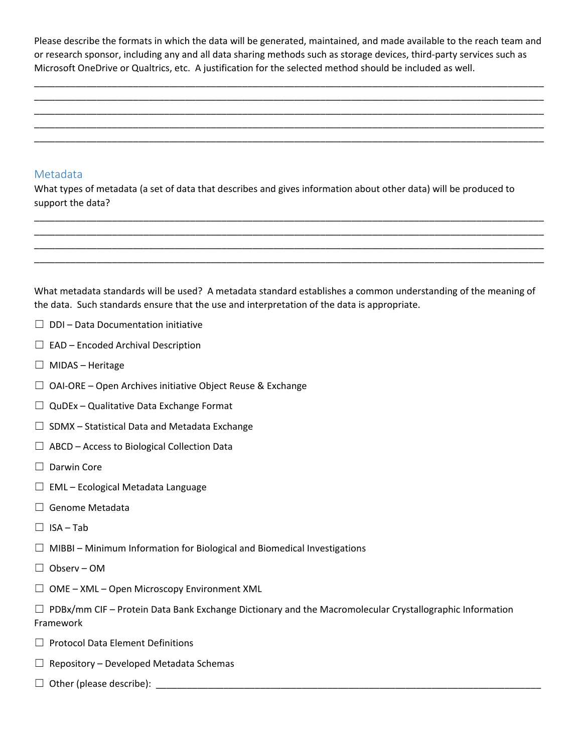Please describe the formats in which the data will be generated, maintained, and made available to the reach team and or research sponsor, including any and all data sharing methods such as storage devices, third-party services such as Microsoft OneDrive or Qualtrics, etc. A justification for the selected method should be included as well.

\_\_\_\_\_\_\_\_\_\_\_\_\_\_\_\_\_\_\_\_\_\_\_\_\_\_\_\_\_\_\_\_\_\_\_\_\_\_\_\_\_\_\_\_\_\_\_\_\_\_\_\_\_\_\_\_\_\_\_\_\_\_\_\_\_\_\_\_\_\_\_\_\_\_\_\_\_\_\_\_\_\_\_\_\_\_\_\_\_\_\_\_\_\_\_\_\_\_ \_\_\_\_\_\_\_\_\_\_\_\_\_\_\_\_\_\_\_\_\_\_\_\_\_\_\_\_\_\_\_\_\_\_\_\_\_\_\_\_\_\_\_\_\_\_\_\_\_\_\_\_\_\_\_\_\_\_\_\_\_\_\_\_\_\_\_\_\_\_\_\_\_\_\_\_\_\_\_\_\_\_\_\_\_\_\_\_\_\_\_\_\_\_\_\_\_\_ \_\_\_\_\_\_\_\_\_\_\_\_\_\_\_\_\_\_\_\_\_\_\_\_\_\_\_\_\_\_\_\_\_\_\_\_\_\_\_\_\_\_\_\_\_\_\_\_\_\_\_\_\_\_\_\_\_\_\_\_\_\_\_\_\_\_\_\_\_\_\_\_\_\_\_\_\_\_\_\_\_\_\_\_\_\_\_\_\_\_\_\_\_\_\_\_\_\_ \_\_\_\_\_\_\_\_\_\_\_\_\_\_\_\_\_\_\_\_\_\_\_\_\_\_\_\_\_\_\_\_\_\_\_\_\_\_\_\_\_\_\_\_\_\_\_\_\_\_\_\_\_\_\_\_\_\_\_\_\_\_\_\_\_\_\_\_\_\_\_\_\_\_\_\_\_\_\_\_\_\_\_\_\_\_\_\_\_\_\_\_\_\_\_\_\_\_ \_\_\_\_\_\_\_\_\_\_\_\_\_\_\_\_\_\_\_\_\_\_\_\_\_\_\_\_\_\_\_\_\_\_\_\_\_\_\_\_\_\_\_\_\_\_\_\_\_\_\_\_\_\_\_\_\_\_\_\_\_\_\_\_\_\_\_\_\_\_\_\_\_\_\_\_\_\_\_\_\_\_\_\_\_\_\_\_\_\_\_\_\_\_\_\_\_\_

#### Metadata

What types of metadata (a set of data that describes and gives information about other data) will be produced to support the data?

\_\_\_\_\_\_\_\_\_\_\_\_\_\_\_\_\_\_\_\_\_\_\_\_\_\_\_\_\_\_\_\_\_\_\_\_\_\_\_\_\_\_\_\_\_\_\_\_\_\_\_\_\_\_\_\_\_\_\_\_\_\_\_\_\_\_\_\_\_\_\_\_\_\_\_\_\_\_\_\_\_\_\_\_\_\_\_\_\_\_\_\_\_\_\_\_\_\_ \_\_\_\_\_\_\_\_\_\_\_\_\_\_\_\_\_\_\_\_\_\_\_\_\_\_\_\_\_\_\_\_\_\_\_\_\_\_\_\_\_\_\_\_\_\_\_\_\_\_\_\_\_\_\_\_\_\_\_\_\_\_\_\_\_\_\_\_\_\_\_\_\_\_\_\_\_\_\_\_\_\_\_\_\_\_\_\_\_\_\_\_\_\_\_\_\_\_ \_\_\_\_\_\_\_\_\_\_\_\_\_\_\_\_\_\_\_\_\_\_\_\_\_\_\_\_\_\_\_\_\_\_\_\_\_\_\_\_\_\_\_\_\_\_\_\_\_\_\_\_\_\_\_\_\_\_\_\_\_\_\_\_\_\_\_\_\_\_\_\_\_\_\_\_\_\_\_\_\_\_\_\_\_\_\_\_\_\_\_\_\_\_\_\_\_\_ \_\_\_\_\_\_\_\_\_\_\_\_\_\_\_\_\_\_\_\_\_\_\_\_\_\_\_\_\_\_\_\_\_\_\_\_\_\_\_\_\_\_\_\_\_\_\_\_\_\_\_\_\_\_\_\_\_\_\_\_\_\_\_\_\_\_\_\_\_\_\_\_\_\_\_\_\_\_\_\_\_\_\_\_\_\_\_\_\_\_\_\_\_\_\_\_\_\_

What metadata standards will be used? A metadata standard establishes a common understanding of the meaning of the data. Such standards ensure that the use and interpretation of the data is appropriate.

- $\Box$  DDI Data Documentation initiative
- $\Box$  EAD Encoded Archival Description
- $\Box$  MIDAS Heritage
- $\Box$  OAI-ORE Open Archives initiative Object Reuse & Exchange
- $\Box$  QuDEx Qualitative Data Exchange Format
- $\Box$  SDMX Statistical Data and Metadata Exchange
- $\Box$  ABCD Access to Biological Collection Data
- ☐ Darwin Core
- $\Box$  EML Ecological Metadata Language
- □ Genome Metadata
- $\square$  ISA Tab
- $\Box$  MIBBI Minimum Information for Biological and Biomedical Investigations
- ☐ Observ OM
- $\Box$  OME XML Open Microscopy Environment XML
- $\Box$  PDBx/mm CIF Protein Data Bank Exchange Dictionary and the Macromolecular Crystallographic Information Framework
- ☐ Protocol Data Element Definitions
- $\Box$  Repository Developed Metadata Schemas
- ☐ Other (please describe): \_\_\_\_\_\_\_\_\_\_\_\_\_\_\_\_\_\_\_\_\_\_\_\_\_\_\_\_\_\_\_\_\_\_\_\_\_\_\_\_\_\_\_\_\_\_\_\_\_\_\_\_\_\_\_\_\_\_\_\_\_\_\_\_\_\_\_\_\_\_\_\_\_\_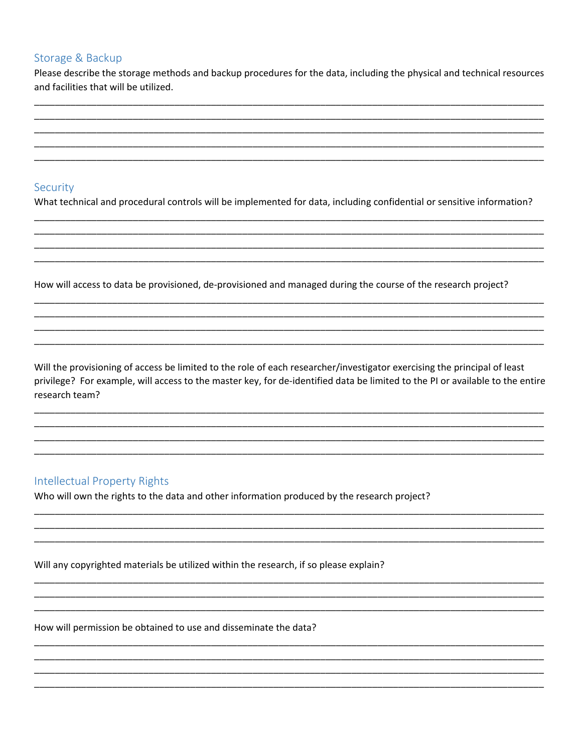# Storage & Backup

Please describe the storage methods and backup procedures for the data, including the physical and technical resources and facilities that will be utilized.

# Security

What technical and procedural controls will be implemented for data, including confidential or sensitive information?

How will access to data be provisioned, de-provisioned and managed during the course of the research project?

Will the provisioning of access be limited to the role of each researcher/investigator exercising the principal of least privilege? For example, will access to the master key, for de-identified data be limited to the PI or available to the entire research team?

# **Intellectual Property Rights**

Who will own the rights to the data and other information produced by the research project?

Will any copyrighted materials be utilized within the research, if so please explain?

How will permission be obtained to use and disseminate the data?